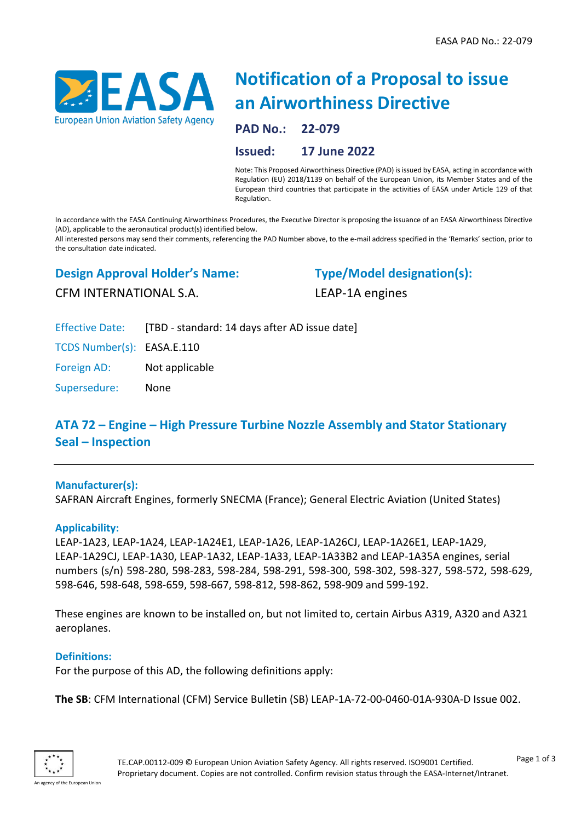

# **Notification of a Proposal to issue an Airworthiness Directive**

**PAD No.: 22-079**

## **Issued: 17 June 2022**

Note: This Proposed Airworthiness Directive (PAD) is issued by EASA, acting in accordance with Regulation (EU) 2018/1139 on behalf of the European Union, its Member States and of the European third countries that participate in the activities of EASA under Article 129 of that Regulation.

In accordance with the EASA Continuing Airworthiness Procedures, the Executive Director is proposing the issuance of an EASA Airworthiness Directive (AD), applicable to the aeronautical product(s) identified below.

All interested persons may send their comments, referencing the PAD Number above, to the e-mail address specified in the 'Remarks' section, prior to the consultation date indicated.

### **Design Approval Holder's Name:**

**Type/Model designation(s):** LEAP-1A engines

CFM INTERNATIONAL S.A.

Effective Date: [TBD - standard: 14 days after AD issue date]

TCDS Number(s): EASA.E.110

Foreign AD: Not applicable

Supersedure: None

# **ATA 72 – Engine – High Pressure Turbine Nozzle Assembly and Stator Stationary Seal – Inspection**

#### **Manufacturer(s):**

SAFRAN Aircraft Engines, formerly SNECMA (France); General Electric Aviation (United States)

#### **Applicability:**

LEAP-1A23, LEAP-1A24, LEAP-1A24E1, LEAP-1A26, LEAP-1A26CJ, LEAP-1A26E1, LEAP-1A29, LEAP-1A29CJ, LEAP-1A30, LEAP-1A32, LEAP-1A33, LEAP-1A33B2 and LEAP-1A35A engines, serial numbers (s/n) 598-280, 598-283, 598-284, 598-291, 598-300, 598-302, 598-327, 598-572, 598-629, 598-646, 598-648, 598-659, 598-667, 598-812, 598-862, 598-909 and 599-192.

These engines are known to be installed on, but not limited to, certain Airbus A319, A320 and A321 aeroplanes.

#### **Definitions:**

For the purpose of this AD, the following definitions apply:

**The SB**: CFM International (CFM) Service Bulletin (SB) LEAP-1A-72-00-0460-01A-930A-D Issue 002.

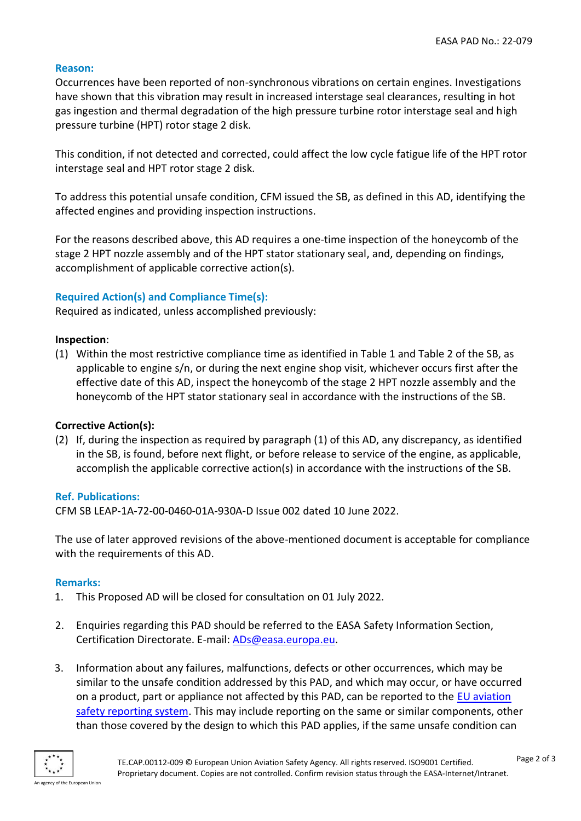#### **Reason:**

Occurrences have been reported of non-synchronous vibrations on certain engines. Investigations have shown that this vibration may result in increased interstage seal clearances, resulting in hot gas ingestion and thermal degradation of the high pressure turbine rotor interstage seal and high pressure turbine (HPT) rotor stage 2 disk.

This condition, if not detected and corrected, could affect the low cycle fatigue life of the HPT rotor interstage seal and HPT rotor stage 2 disk.

To address this potential unsafe condition, CFM issued the SB, as defined in this AD, identifying the affected engines and providing inspection instructions.

For the reasons described above, this AD requires a one-time inspection of the honeycomb of the stage 2 HPT nozzle assembly and of the HPT stator stationary seal, and, depending on findings, accomplishment of applicable corrective action(s).

#### **Required Action(s) and Compliance Time(s):**

Required as indicated, unless accomplished previously:

#### **Inspection**:

(1) Within the most restrictive compliance time as identified in Table 1 and Table 2 of the SB, as applicable to engine s/n, or during the next engine shop visit, whichever occurs first after the effective date of this AD, inspect the honeycomb of the stage 2 HPT nozzle assembly and the honeycomb of the HPT stator stationary seal in accordance with the instructions of the SB.

#### **Corrective Action(s):**

(2) If, during the inspection as required by paragraph (1) of this AD, any discrepancy, as identified in the SB, is found, before next flight, or before release to service of the engine, as applicable, accomplish the applicable corrective action(s) in accordance with the instructions of the SB.

#### **Ref. Publications:**

CFM SB LEAP-1A-72-00-0460-01A-930A-D Issue 002 dated 10 June 2022.

The use of later approved revisions of the above-mentioned document is acceptable for compliance with the requirements of this AD.

#### **Remarks:**

- 1. This Proposed AD will be closed for consultation on 01 July 2022.
- 2. Enquiries regarding this PAD should be referred to the EASA Safety Information Section, Certification Directorate. E-mail: [ADs@easa.europa.eu.](mailto:ADs@easa.europa.eu)
- 3. Information about any failures, malfunctions, defects or other occurrences, which may be similar to the unsafe condition addressed by this PAD, and which may occur, or have occurred on a product, part or appliance not affected by this PAD, can be reported to the EU [aviation](https://e2.aviationreporting.eu/reporting)  [safety reporting system.](https://e2.aviationreporting.eu/reporting) This may include reporting on the same or similar components, other than those covered by the design to which this PAD applies, if the same unsafe condition can